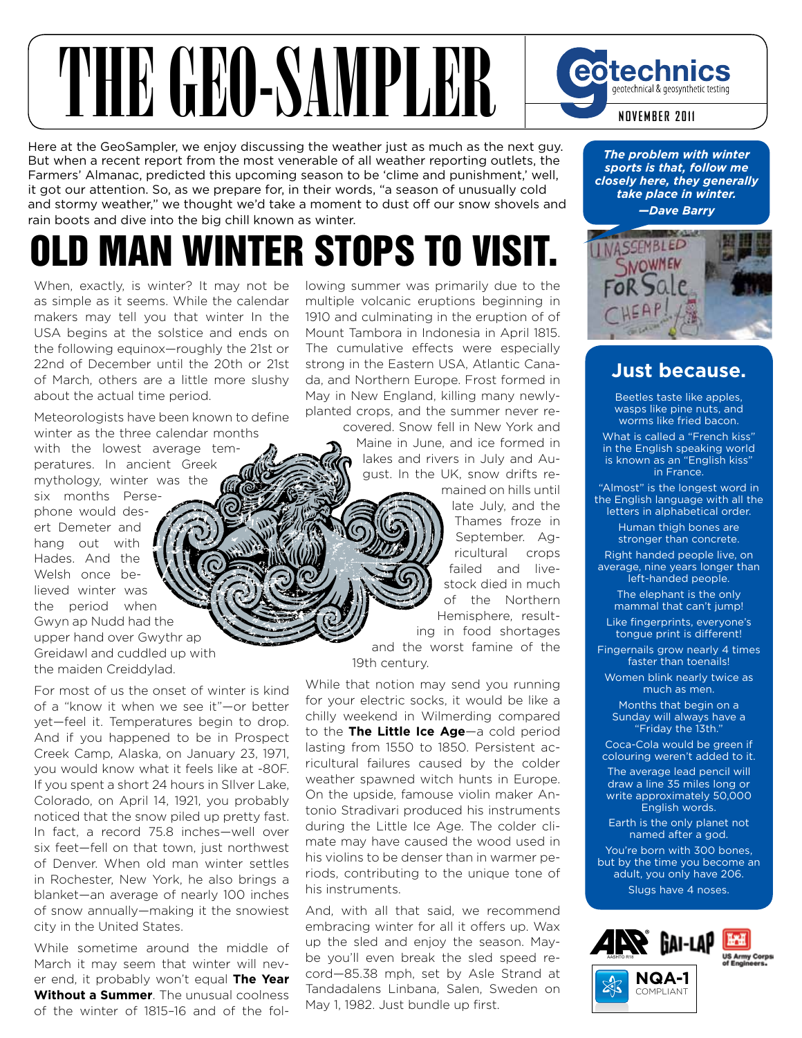### THE GEO-SAMPLER **eotechnics** geotechnical & geosynthetic testing **NOVEMBER 2011**

Here at the GeoSampler, we enjoy discussing the weather just as much as the next guy. But when a recent report from the most venerable of all weather reporting outlets, the Farmers' Almanac, predicted this upcoming season to be 'clime and punishment,' well, it got our attention. So, as we prepare for, in their words, "a season of unusually cold and stormy weather," we thought we'd take a moment to dust off our snow shovels and rain boots and dive into the big chill known as winter.

# OLD MAN WINTER STOPS TO VISIT.

When, exactly, is winter? It may not be as simple as it seems. While the calendar makers may tell you that winter In the USA begins at the solstice and ends on the following equinox—roughly the 21st or 22nd of December until the 20th or 21st of March, others are a little more slushy about the actual time period.

Meteorologists have been known to define winter as the three calendar months with the lowest average temperatures. In ancient Greek mythology, winter was the six months Persephone would desert Demeter and hang out with Hades. And the Welsh once believed winter was the period when Gwyn ap Nudd had the upper hand over Gwythr ap Greidawl and cuddled up with the maiden Creiddylad.

For most of us the onset of winter is kind of a "know it when we see it"—or better yet—feel it. Temperatures begin to drop. And if you happened to be in Prospect Creek Camp, Alaska, on January 23, 1971, you would know what it feels like at -80F. If you spent a short 24 hours in SIlver Lake, Colorado, on April 14, 1921, you probably noticed that the snow piled up pretty fast. In fact, a record 75.8 inches—well over six feet-fell on that town, just northwest of Denver. When old man winter settles in Rochester, New York, he also brings a blanket—an average of nearly 100 inches of snow annually—making it the snowiest city in the United States.

While sometime around the middle of March it may seem that winter will never end, it probably won't equal **The Year Without a Summer**. The unusual coolness of the winter of 1815–16 and of the following summer was primarily due to the multiple volcanic eruptions beginning in 1910 and culminating in the eruption of of Mount Tambora in Indonesia in April 1815. The cumulative effects were especially strong in the Eastern USA, Atlantic Canada, and Northern Europe. Frost formed in May in New England, killing many newlyplanted crops, and the summer never re-

covered. Snow fell in New York and Maine in June, and ice formed in lakes and rivers in July and August. In the UK, snow drifts re-

> mained on hills until late July, and the Thames froze in September. Agricultural crops failed and livestock died in much of the Northern Hemisphere, resulting in food shortages

and the worst famine of the 19th century.

While that notion may send you running for your electric socks, it would be like a chilly weekend in Wilmerding compared to the **The Little Ice Age**—a cold period lasting from 1550 to 1850. Persistent acricultural failures caused by the colder weather spawned witch hunts in Europe. On the upside, famouse violin maker Antonio Stradivari produced his instruments during the Little Ice Age. The colder climate may have caused the wood used in his violins to be denser than in warmer periods, contributing to the unique tone of his instruments.

And, with all that said, we recommend embracing winter for all it offers up. Wax up the sled and enjoy the season. Maybe you'll even break the sled speed record—85.38 mph, set by Asle Strand at Tandadalens Linbana, Salen, Sweden on May 1, 1982. Just bundle up first.

*The problem with winter sports is that, follow me closely here, they generally take place in winter. —Dave Barry*



#### **Just because.**

Beetles taste like apples, wasps like pine nuts, and worms like fried bacon.

What is called a "French kiss" in the English speaking world is known as an "English kiss" in France.

"Almost" is the longest word in

the English language with all the letters in alphabetical order.

> Human thigh bones are stronger than concrete.

Right handed people live, on average, nine years longer than left-handed people.

The elephant is the only mammal that can't jump!

Like fingerprints, everyone's tongue print is different!

Fingernails grow nearly 4 times faster than toenails!

Women blink nearly twice as much as men.

Months that begin on a Sunday will always have a "Friday the 13th."

Coca-Cola would be green if colouring weren't added to it.

The average lead pencil will draw a line 35 miles long or write approximately 50,000 English words.

Earth is the only planet not named after a god.

You're born with 300 bones, but by the time you become an adult, you only have 206. Slugs have 4 noses.